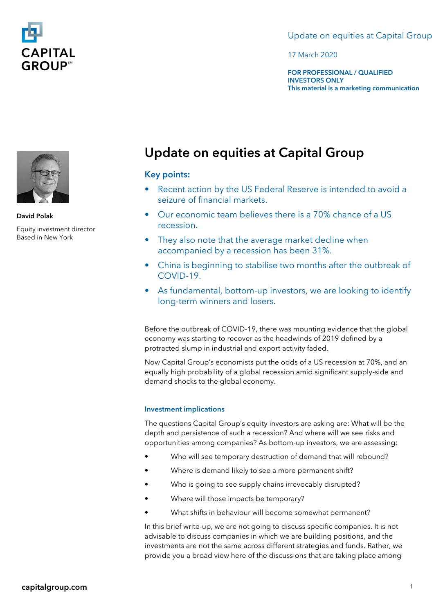

17 March 2020

FOR PROFESSIONAL / QUALIFIED INVESTORS ONLY This material is a marketing communication

CAPITAL **GROUP™** 

David Polak

Equity investment director Based in New York

## Update on equities at Capital Group

## Key points:

- Recent action by the US Federal Reserve is intended to avoid a seizure of financial markets.
- Our economic team believes there is a 70% chance of a US recession.
- They also note that the average market decline when accompanied by a recession has been 31%.
- China is beginning to stabilise two months after the outbreak of COVID-19.
- As fundamental, bottom-up investors, we are looking to identify long-term winners and losers.

Before the outbreak of COVID-19, there was mounting evidence that the global economy was starting to recover as the headwinds of 2019 defined by a protracted slump in industrial and export activity faded.

Now Capital Group's economists put the odds of a US recession at 70%, and an equally high probability of a global recession amid significant supply-side and demand shocks to the global economy.

## Investment implications

The questions Capital Group's equity investors are asking are: What will be the depth and persistence of such a recession? And where will we see risks and opportunities among companies? As bottom-up investors, we are assessing:

- Who will see temporary destruction of demand that will rebound?
- Where is demand likely to see a more permanent shift?
- Who is going to see supply chains irrevocably disrupted?
- Where will those impacts be temporary?
- What shifts in behaviour will become somewhat permanent?

In this brief write-up, we are not going to discuss specific companies. It is not advisable to discuss companies in which we are building positions, and the investments are not the same across different strategies and funds. Rather, we provide you a broad view here of the discussions that are taking place among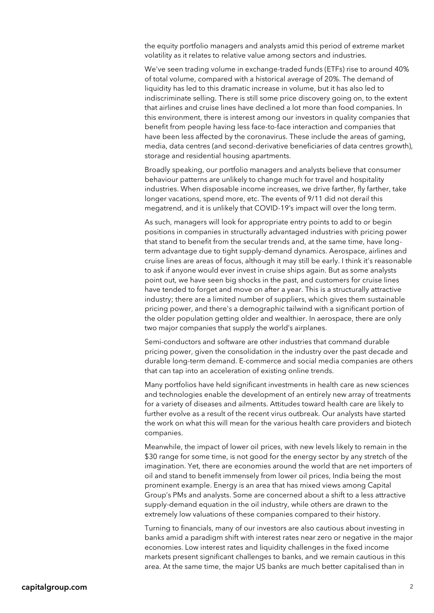the equity portfolio managers and analysts amid this period of extreme market volatility as it relates to relative value among sectors and industries.

We've seen trading volume in exchange-traded funds (ETFs) rise to around 40% of total volume, compared with a historical average of 20%. The demand of liquidity has led to this dramatic increase in volume, but it has also led to indiscriminate selling. There is still some price discovery going on, to the extent that airlines and cruise lines have declined a lot more than food companies. In this environment, there is interest among our investors in quality companies that benefit from people having less face-to-face interaction and companies that have been less affected by the coronavirus. These include the areas of gaming, media, data centres (and second-derivative beneficiaries of data centres growth), storage and residential housing apartments.

Broadly speaking, our portfolio managers and analysts believe that consumer behaviour patterns are unlikely to change much for travel and hospitality industries. When disposable income increases, we drive farther, fly farther, take longer vacations, spend more, etc. The events of 9/11 did not derail this megatrend, and it is unlikely that COVID-19's impact will over the long term.

As such, managers will look for appropriate entry points to add to or begin positions in companies in structurally advantaged industries with pricing power that stand to benefit from the secular trends and, at the same time, have longterm advantage due to tight supply-demand dynamics. Aerospace, airlines and cruise lines are areas of focus, although it may still be early. I think it's reasonable to ask if anyone would ever invest in cruise ships again. But as some analysts point out, we have seen big shocks in the past, and customers for cruise lines have tended to forget and move on after a year. This is a structurally attractive industry; there are a limited number of suppliers, which gives them sustainable pricing power, and there's a demographic tailwind with a significant portion of the older population getting older and wealthier. In aerospace, there are only two major companies that supply the world's airplanes.

Semi-conductors and software are other industries that command durable pricing power, given the consolidation in the industry over the past decade and durable long-term demand. E-commerce and social media companies are others that can tap into an acceleration of existing online trends.

Many portfolios have held significant investments in health care as new sciences and technologies enable the development of an entirely new array of treatments for a variety of diseases and ailments. Attitudes toward health care are likely to further evolve as a result of the recent virus outbreak. Our analysts have started the work on what this will mean for the various health care providers and biotech companies.

Meanwhile, the impact of lower oil prices, with new levels likely to remain in the \$30 range for some time, is not good for the energy sector by any stretch of the imagination. Yet, there are economies around the world that are net importers of oil and stand to benefit immensely from lower oil prices, India being the most prominent example. Energy is an area that has mixed views among Capital Group's PMs and analysts. Some are concerned about a shift to a less attractive supply-demand equation in the oil industry, while others are drawn to the extremely low valuations of these companies compared to their history.

Turning to financials, many of our investors are also cautious about investing in banks amid a paradigm shift with interest rates near zero or negative in the major economies. Low interest rates and liquidity challenges in the fixed income markets present significant challenges to banks, and we remain cautious in this area. At the same time, the major US banks are much better capitalised than in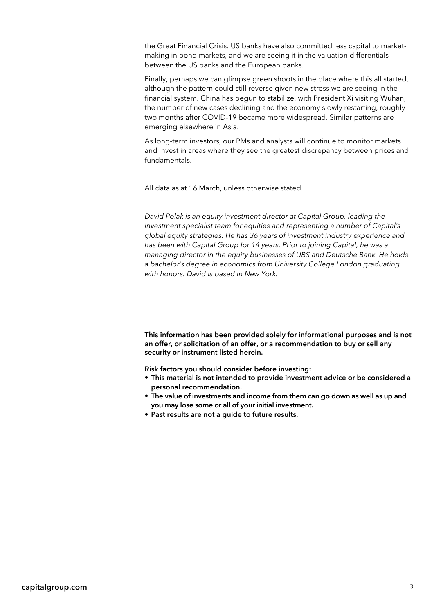the Great Financial Crisis. US banks have also committed less capital to marketmaking in bond markets, and we are seeing it in the valuation differentials between the US banks and the European banks.

Finally, perhaps we can glimpse green shoots in the place where this all started, although the pattern could still reverse given new stress we are seeing in the financial system. China has begun to stabilize, with President Xi visiting Wuhan, the number of new cases declining and the economy slowly restarting, roughly two months after COVID-19 became more widespread. Similar patterns are emerging elsewhere in Asia.

As long-term investors, our PMs and analysts will continue to monitor markets and invest in areas where they see the greatest discrepancy between prices and fundamentals.

All data as at 16 March, unless otherwise stated.

*David Polak is an equity investment director at Capital Group, leading the investment specialist team for equities and representing a number of Capital's global equity strategies. He has 36 years of investment industry experience and has been with Capital Group for 14 years. Prior to joining Capital, he was a managing director in the equity businesses of UBS and Deutsche Bank. He holds*  a bachelor's degree in economics from University College London graduating *with honors. David is based in New York.*

This information has been provided solely for informational purposes and is not an offer, or solicitation of an offer, or a recommendation to buy or sell any security or instrument listed herein.

Risk factors you should consider before investing:

- This material is not intended to provide investment advice or be considered a personal recommendation.
- The value of investments and income from them can go down as well as up and you may lose some or all of your initial investment.
- Past results are not a guide to future results.